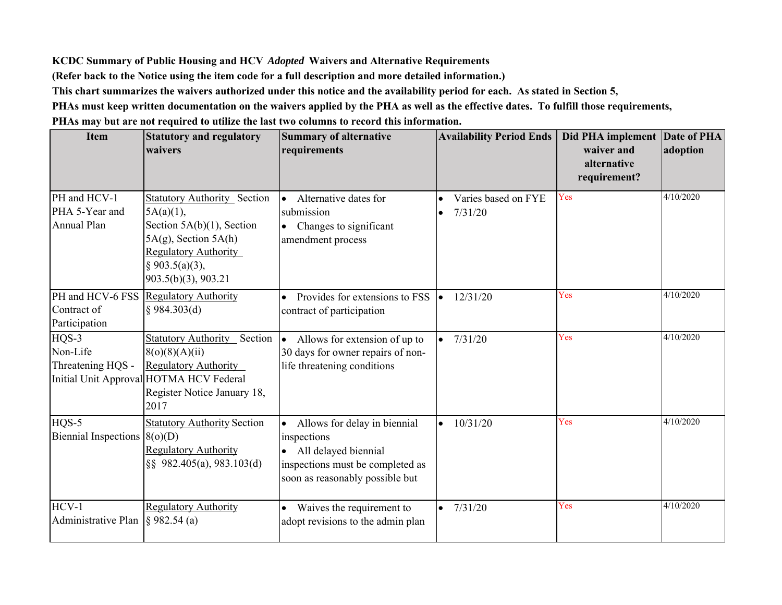**KCDC Summary of Public Housing and HCV** *Adopted* **Waivers and Alternative Requirements**

**(Refer back to the Notice using the item code for a full description and more detailed information.)**

**This chart summarizes the waivers authorized under this notice and the availability period for each. As stated in Section 5,**

**PHAs must keep written documentation on the waivers applied by the PHA as well as the effective dates. To fulfill those requirements,** 

**PHAs may but are not required to utilize the last two columns to record this information.**

| <b>Item</b>                                           | <b>Statutory and regulatory</b><br>waivers                                                                                                                                              | <b>Summary of alternative</b><br>requirements                                                                                                | <b>Availability Period Ends</b> | Did PHA implement<br>waiver and<br>alternative<br>requirement? | <b>Date of PHA</b><br>adoption |
|-------------------------------------------------------|-----------------------------------------------------------------------------------------------------------------------------------------------------------------------------------------|----------------------------------------------------------------------------------------------------------------------------------------------|---------------------------------|----------------------------------------------------------------|--------------------------------|
| PH and HCV-1<br>PHA 5-Year and<br><b>Annual Plan</b>  | <b>Statutory Authority Section</b><br>$5A(a)(1)$ ,<br>Section $5A(b)(1)$ , Section<br>$5A(g)$ , Section $5A(h)$<br><b>Regulatory Authority</b><br>§ 903.5(a)(3),<br>903.5(b)(3), 903.21 | Alternative dates for<br>l.<br>submission<br>• Changes to significant<br>amendment process                                                   | Varies based on FYE<br>7/31/20  | Yes                                                            | 4/10/2020                      |
| PH and HCV-6 FSS<br>Contract of<br>Participation      | <b>Regulatory Authority</b><br>$§$ 984.303(d)                                                                                                                                           | Provides for extensions to FSS<br>$\bullet$<br>contract of participation                                                                     | 12/31/20                        | Yes                                                            | 4/10/2020                      |
| $HQS-3$<br>Non-Life<br>Threatening HQS -              | <b>Statutory Authority</b> Section<br>8(o)(8)(A)(ii)<br><b>Regulatory Authority</b><br>Initial Unit Approval HOTMA HCV Federal<br>Register Notice January 18,<br>2017                   | Allows for extension of up to<br>$\vert \bullet \vert$<br>30 days for owner repairs of non-<br>life threatening conditions                   | 7/31/20                         | Yes                                                            | 4/10/2020                      |
| $HOS-5$<br>Biennial Inspections $(8(o)(D))$           | <b>Statutory Authority Section</b><br><b>Regulatory Authority</b><br>§§ 982.405(a), 983.103(d)                                                                                          | Allows for delay in biennial<br>inspections<br>• All delayed biennial<br>inspections must be completed as<br>soon as reasonably possible but | 10/31/20                        | Yes                                                            | 4/10/2020                      |
| $HCV-1$<br>Administrative Plan $\left  \S$ 982.54 (a) | <b>Regulatory Authority</b>                                                                                                                                                             | Waives the requirement to<br>adopt revisions to the admin plan                                                                               | 7/31/20                         | Yes                                                            | 4/10/2020                      |